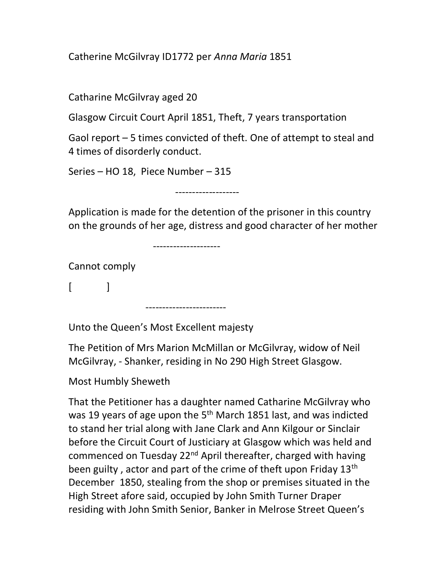Catherine McGilvray ID1772 per Anna Maria 1851

Catharine McGilvray aged 20

Glasgow Circuit Court April 1851, Theft, 7 years transportation

Gaol report – 5 times convicted of theft. One of attempt to steal and 4 times of disorderly conduct.

Series – HO 18, Piece Number – 315

-------------------

Application is made for the detention of the prisoner in this country on the grounds of her age, distress and good character of her mother

--------------------

------------------------

Cannot comply

 $\lceil$   $\lceil$   $\lceil$ 

Unto the Queen's Most Excellent majesty

The Petition of Mrs Marion McMillan or McGilvray, widow of Neil McGilvray, - Shanker, residing in No 290 High Street Glasgow.

Most Humbly Sheweth

That the Petitioner has a daughter named Catharine McGilvray who was 19 years of age upon the 5<sup>th</sup> March 1851 last, and was indicted to stand her trial along with Jane Clark and Ann Kilgour or Sinclair before the Circuit Court of Justiciary at Glasgow which was held and commenced on Tuesday 22<sup>nd</sup> April thereafter, charged with having been guilty, actor and part of the crime of theft upon Friday 13<sup>th</sup> December 1850, stealing from the shop or premises situated in the High Street afore said, occupied by John Smith Turner Draper residing with John Smith Senior, Banker in Melrose Street Queen's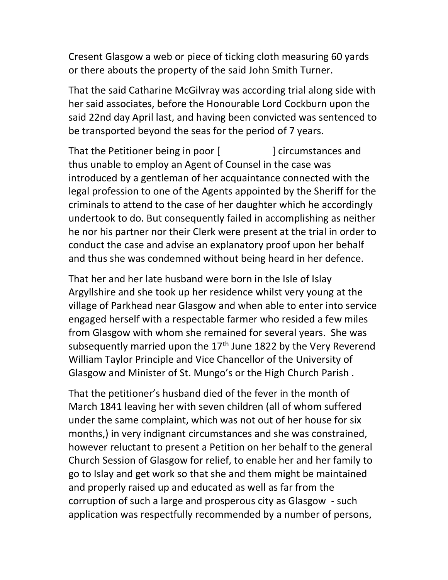Cresent Glasgow a web or piece of ticking cloth measuring 60 yards or there abouts the property of the said John Smith Turner.

That the said Catharine McGilvray was according trial along side with her said associates, before the Honourable Lord Cockburn upon the said 22nd day April last, and having been convicted was sentenced to be transported beyond the seas for the period of 7 years.

That the Petitioner being in poor [ ] circumstances and thus unable to employ an Agent of Counsel in the case was introduced by a gentleman of her acquaintance connected with the legal profession to one of the Agents appointed by the Sheriff for the criminals to attend to the case of her daughter which he accordingly undertook to do. But consequently failed in accomplishing as neither he nor his partner nor their Clerk were present at the trial in order to conduct the case and advise an explanatory proof upon her behalf and thus she was condemned without being heard in her defence.

That her and her late husband were born in the Isle of Islay Argyllshire and she took up her residence whilst very young at the village of Parkhead near Glasgow and when able to enter into service engaged herself with a respectable farmer who resided a few miles from Glasgow with whom she remained for several years. She was subsequently married upon the  $17<sup>th</sup>$  June 1822 by the Very Reverend William Taylor Principle and Vice Chancellor of the University of Glasgow and Minister of St. Mungo's or the High Church Parish .

That the petitioner's husband died of the fever in the month of March 1841 leaving her with seven children (all of whom suffered under the same complaint, which was not out of her house for six months,) in very indignant circumstances and she was constrained, however reluctant to present a Petition on her behalf to the general Church Session of Glasgow for relief, to enable her and her family to go to Islay and get work so that she and them might be maintained and properly raised up and educated as well as far from the corruption of such a large and prosperous city as Glasgow - such application was respectfully recommended by a number of persons,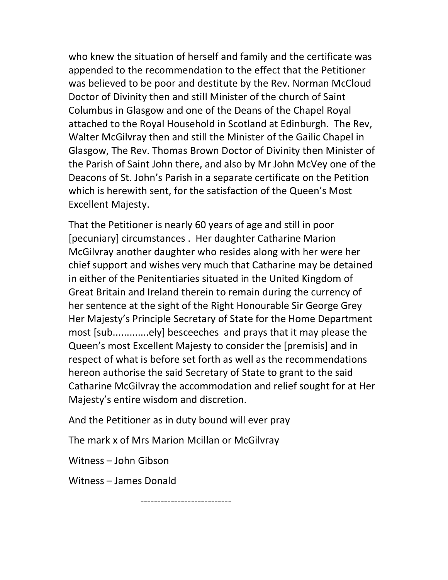who knew the situation of herself and family and the certificate was appended to the recommendation to the effect that the Petitioner was believed to be poor and destitute by the Rev. Norman McCloud Doctor of Divinity then and still Minister of the church of Saint Columbus in Glasgow and one of the Deans of the Chapel Royal attached to the Royal Household in Scotland at Edinburgh. The Rev, Walter McGilvray then and still the Minister of the Gailic Chapel in Glasgow, The Rev. Thomas Brown Doctor of Divinity then Minister of the Parish of Saint John there, and also by Mr John McVey one of the Deacons of St. John's Parish in a separate certificate on the Petition which is herewith sent, for the satisfaction of the Queen's Most Excellent Majesty.

That the Petitioner is nearly 60 years of age and still in poor [pecuniary] circumstances . Her daughter Catharine Marion McGilvray another daughter who resides along with her were her chief support and wishes very much that Catharine may be detained in either of the Penitentiaries situated in the United Kingdom of Great Britain and Ireland therein to remain during the currency of her sentence at the sight of the Right Honourable Sir George Grey Her Majesty's Principle Secretary of State for the Home Department most [sub.............ely] besceeches and prays that it may please the Queen's most Excellent Majesty to consider the [premisis] and in respect of what is before set forth as well as the recommendations hereon authorise the said Secretary of State to grant to the said Catharine McGilvray the accommodation and relief sought for at Her Majesty's entire wisdom and discretion.

And the Petitioner as in duty bound will ever pray

The mark x of Mrs Marion Mcillan or McGilvray

Witness – John Gibson

Witness – James Donald

---------------------------